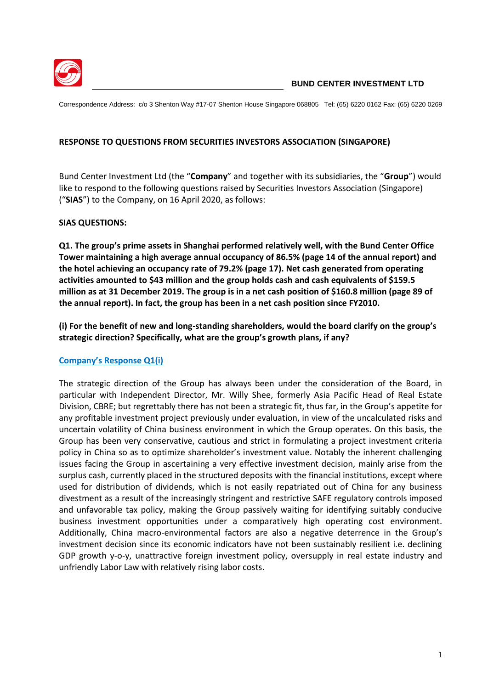

Correspondence Address: c/o 3 Shenton Way #17-07 Shenton House Singapore 068805 Tel: (65) 6220 0162 Fax: (65) 6220 0269

#### **RESPONSE TO QUESTIONS FROM SECURITIES INVESTORS ASSOCIATION (SINGAPORE)**

Bund Center Investment Ltd (the "**Company**" and together with its subsidiaries, the "**Group**") would like to respond to the following questions raised by Securities Investors Association (Singapore) ("**SIAS**") to the Company, on 16 April 2020, as follows:

#### **SIAS QUESTIONS:**

**Q1. The group's prime assets in Shanghai performed relatively well, with the Bund Center Office Tower maintaining a high average annual occupancy of 86.5% (page 14 of the annual report) and the hotel achieving an occupancy rate of 79.2% (page 17). Net cash generated from operating activities amounted to \$43 million and the group holds cash and cash equivalents of \$159.5 million as at 31 December 2019. The group is in a net cash position of \$160.8 million (page 89 of the annual report). In fact, the group has been in a net cash position since FY2010.**

**(i) For the benefit of new and long-standing shareholders, would the board clarify on the group's strategic direction? Specifically, what are the group's growth plans, if any?** 

### **Company's Response Q1(i)**

The strategic direction of the Group has always been under the consideration of the Board, in particular with Independent Director, Mr. Willy Shee, formerly Asia Pacific Head of Real Estate Division, CBRE; but regrettably there has not been a strategic fit, thus far, in the Group's appetite for any profitable investment project previously under evaluation, in view of the uncalculated risks and uncertain volatility of China business environment in which the Group operates. On this basis, the Group has been very conservative, cautious and strict in formulating a project investment criteria policy in China so as to optimize shareholder's investment value. Notably the inherent challenging issues facing the Group in ascertaining a very effective investment decision, mainly arise from the surplus cash, currently placed in the structured deposits with the financial institutions, except where used for distribution of dividends, which is not easily repatriated out of China for any business divestment as a result of the increasingly stringent and restrictive SAFE regulatory controls imposed and unfavorable tax policy, making the Group passively waiting for identifying suitably conducive business investment opportunities under a comparatively high operating cost environment. Additionally, China macro-environmental factors are also a negative deterrence in the Group's investment decision since its economic indicators have not been sustainably resilient i.e. declining GDP growth y-o-y, unattractive foreign investment policy, oversupply in real estate industry and unfriendly Labor Law with relatively rising labor costs.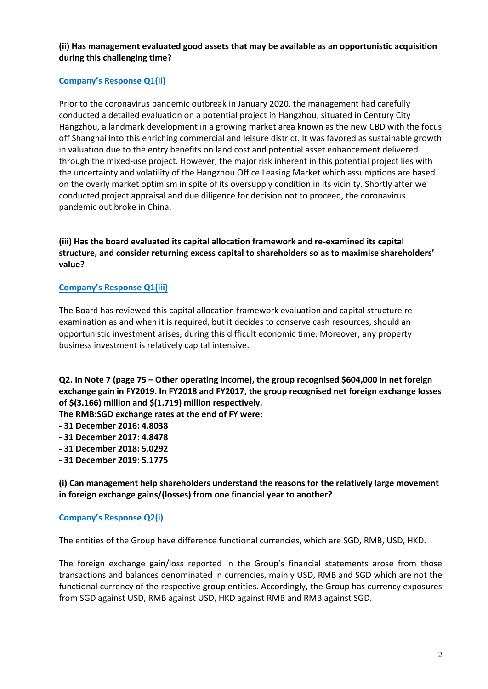### **(ii) Has management evaluated good assets that may be available as an opportunistic acquisition during this challenging time?**

# **Company's Response Q1(ii)**

Prior to the coronavirus pandemic outbreak in January 2020, the management had carefully conducted a detailed evaluation on a potential project in Hangzhou, situated in Century City Hangzhou, a landmark development in a growing market area known as the new CBD with the focus off Shanghai into this enriching commercial and leisure district. It was favored as sustainable growth in valuation due to the entry benefits on land cost and potential asset enhancement delivered through the mixed-use project. However, the major risk inherent in this potential project lies with the uncertainty and volatility of the Hangzhou Office Leasing Market which assumptions are based on the overly market optimism in spite of its oversupply condition in its vicinity. Shortly after we conducted project appraisal and due diligence for decision not to proceed, the coronavirus pandemic out broke in China.

**(iii) Has the board evaluated its capital allocation framework and re-examined its capital structure, and consider returning excess capital to shareholders so as to maximise shareholders' value?** 

### **Company's Response Q1(iii)**

The Board has reviewed this capital allocation framework evaluation and capital structure reexamination as and when it is required, but it decides to conserve cash resources, should an opportunistic investment arises, during this difficult economic time. Moreover, any property business investment is relatively capital intensive.

**Q2. In Note 7 (page 75 – Other operating income), the group recognised \$604,000 in net foreign exchange gain in FY2019. In FY2018 and FY2017, the group recognised net foreign exchange losses of \$(3.166) million and \$(1.719) million respectively.** 

**The RMB:SGD exchange rates at the end of FY were:** 

- **- 31 December 2016: 4.8038**
- **- 31 December 2017: 4.8478**
- **- 31 December 2018: 5.0292**
- **- 31 December 2019: 5.1775**

**(i) Can management help shareholders understand the reasons for the relatively large movement in foreign exchange gains/(losses) from one financial year to another?** 

### **Company's Response Q2(i)**

The entities of the Group have difference functional currencies, which are SGD, RMB, USD, HKD.

The foreign exchange gain/loss reported in the Group's financial statements arose from those transactions and balances denominated in currencies, mainly USD, RMB and SGD which are not the functional currency of the respective group entities. Accordingly, the Group has currency exposures from SGD against USD, RMB against USD, HKD against RMB and RMB against SGD.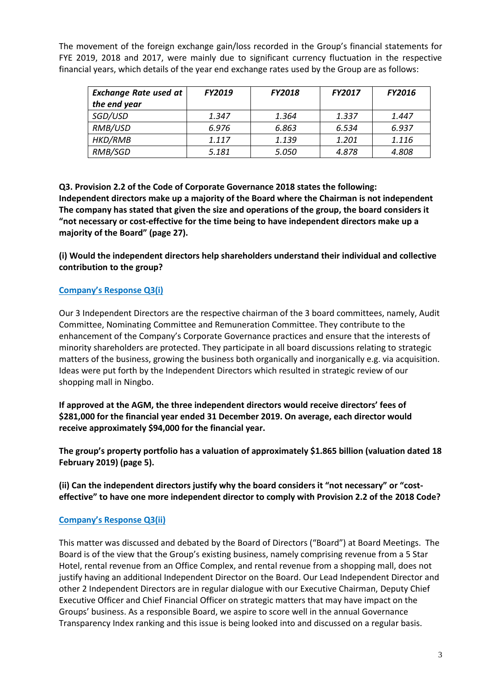The movement of the foreign exchange gain/loss recorded in the Group's financial statements for FYE 2019, 2018 and 2017, were mainly due to significant currency fluctuation in the respective financial years, which details of the year end exchange rates used by the Group are as follows:

| <b>Exchange Rate used at</b> | <b>FY2019</b> | <b>FY2018</b> | <b>FY2017</b> | <b>FY2016</b> |
|------------------------------|---------------|---------------|---------------|---------------|
| the end year                 |               |               |               |               |
| SGD/USD                      | 1.347         | 1.364         | 1.337         | 1.447         |
| RMB/USD                      | 6.976         | 6.863         | 6.534         | 6.937         |
| HKD/RMB                      | 1.117         | 1.139         | 1.201         | 1.116         |
| RMB/SGD                      | 5.181         | 5.050         | 4.878         | 4.808         |

**Q3. Provision 2.2 of the Code of Corporate Governance 2018 states the following: Independent directors make up a majority of the Board where the Chairman is not independent The company has stated that given the size and operations of the group, the board considers it "not necessary or cost-effective for the time being to have independent directors make up a majority of the Board" (page 27).** 

**(i) Would the independent directors help shareholders understand their individual and collective contribution to the group?** 

# **Company's Response Q3(i)**

Our 3 Independent Directors are the respective chairman of the 3 board committees, namely, Audit Committee, Nominating Committee and Remuneration Committee. They contribute to the enhancement of the Company's Corporate Governance practices and ensure that the interests of minority shareholders are protected. They participate in all board discussions relating to strategic matters of the business, growing the business both organically and inorganically e.g. via acquisition. Ideas were put forth by the Independent Directors which resulted in strategic review of our shopping mall in Ningbo.

**If approved at the AGM, the three independent directors would receive directors' fees of \$281,000 for the financial year ended 31 December 2019. On average, each director would receive approximately \$94,000 for the financial year.**

**The group's property portfolio has a valuation of approximately \$1.865 billion (valuation dated 18 February 2019) (page 5).**

**(ii) Can the independent directors justify why the board considers it "not necessary" or "costeffective" to have one more independent director to comply with Provision 2.2 of the 2018 Code?**

# **Company's Response Q3(ii)**

This matter was discussed and debated by the Board of Directors ("Board") at Board Meetings. The Board is of the view that the Group's existing business, namely comprising revenue from a 5 Star Hotel, rental revenue from an Office Complex, and rental revenue from a shopping mall, does not justify having an additional Independent Director on the Board. Our Lead Independent Director and other 2 Independent Directors are in regular dialogue with our Executive Chairman, Deputy Chief Executive Officer and Chief Financial Officer on strategic matters that may have impact on the Groups' business. As a responsible Board, we aspire to score well in the annual Governance Transparency Index ranking and this issue is being looked into and discussed on a regular basis.